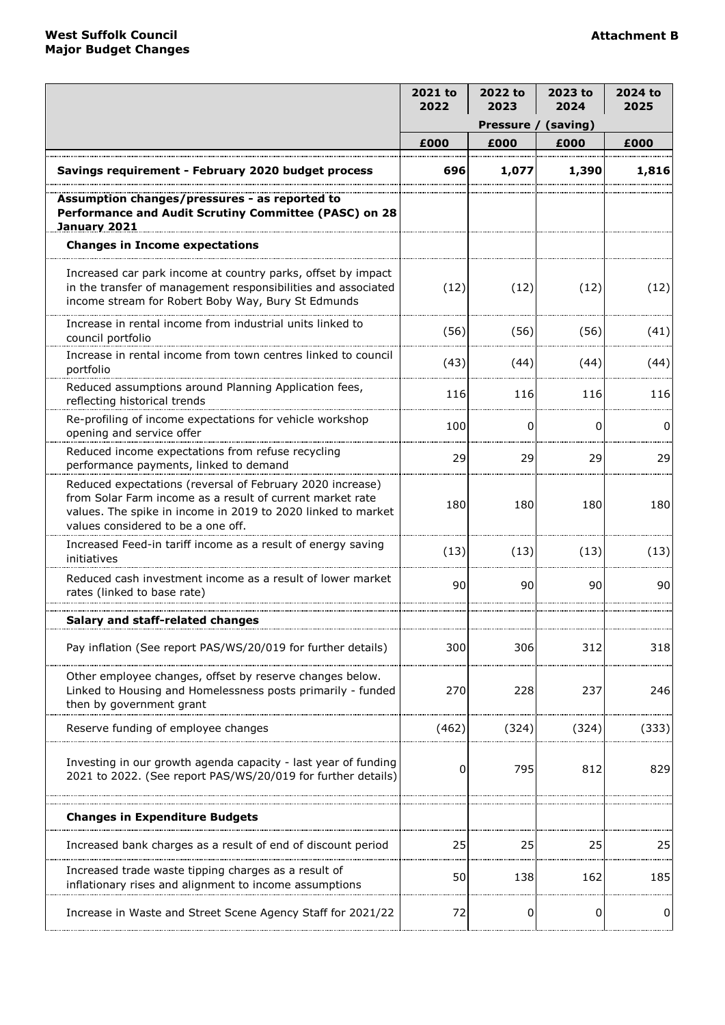|                                                                                                                                                                                                                              | 2021 to<br>2022        | 2022 to<br>2023 | 2023 to<br>2024 | 2024 to<br>2025 |
|------------------------------------------------------------------------------------------------------------------------------------------------------------------------------------------------------------------------------|------------------------|-----------------|-----------------|-----------------|
|                                                                                                                                                                                                                              | Pressure /<br>(saving) |                 |                 |                 |
|                                                                                                                                                                                                                              | £000                   | £000            | £000            | £000            |
| Savings requirement - February 2020 budget process                                                                                                                                                                           | 696                    | 1,077           | 1,390           | 1,816           |
| Assumption changes/pressures - as reported to<br>Performance and Audit Scrutiny Committee (PASC) on 28<br><b>January 2021</b>                                                                                                |                        |                 |                 |                 |
| <b>Changes in Income expectations</b>                                                                                                                                                                                        |                        |                 |                 |                 |
| Increased car park income at country parks, offset by impact<br>in the transfer of management responsibilities and associated<br>income stream for Robert Boby Way, Bury St Edmunds                                          | (12)                   | (12)            | (12)            | (12)            |
| Increase in rental income from industrial units linked to<br>council portfolio                                                                                                                                               | (56)                   | (56)            | (56)            | (41)            |
| Increase in rental income from town centres linked to council<br>portfolio                                                                                                                                                   | (43)                   | (44)            | (44)            | (44)            |
| Reduced assumptions around Planning Application fees,<br>reflecting historical trends                                                                                                                                        | 116                    | 116             | 116             | 116             |
| Re-profiling of income expectations for vehicle workshop<br>opening and service offer                                                                                                                                        | 100                    | 0               | $\Omega$        | $\Omega$        |
| Reduced income expectations from refuse recycling<br>performance payments, linked to demand                                                                                                                                  | 29                     | 29              | 29              | 29              |
| Reduced expectations (reversal of February 2020 increase)<br>from Solar Farm income as a result of current market rate<br>values. The spike in income in 2019 to 2020 linked to market<br>values considered to be a one off. | 180                    | 180             | 180             | 180             |
| Increased Feed-in tariff income as a result of energy saving<br>initiatives                                                                                                                                                  | (13)                   | (13)            | (13)            | (13)            |
| Reduced cash investment income as a result of lower market<br>rates (linked to base rate)                                                                                                                                    | 90                     | 90              | 90              | 90              |
| Salary and staff-related changes                                                                                                                                                                                             |                        |                 |                 |                 |
| Pay inflation (See report PAS/WS/20/019 for further details)                                                                                                                                                                 | 300                    | 306             | 312             | 318             |
| Other employee changes, offset by reserve changes below.<br>Linked to Housing and Homelessness posts primarily - funded<br>then by government grant                                                                          | 270                    | 228             | 237             | 246             |
| Reserve funding of employee changes                                                                                                                                                                                          | (462)                  | (324)           | (324)           | (333)           |
| Investing in our growth agenda capacity - last year of funding<br>2021 to 2022. (See report PAS/WS/20/019 for further details)                                                                                               | 0                      | 795             | 812             | 829             |
| <b>Changes in Expenditure Budgets</b>                                                                                                                                                                                        |                        |                 |                 |                 |
| Increased bank charges as a result of end of discount period                                                                                                                                                                 | 25                     | 25              | 25              | 25              |
| Increased trade waste tipping charges as a result of<br>inflationary rises and alignment to income assumptions                                                                                                               | 50                     | 138             | 162             | 185             |
| Increase in Waste and Street Scene Agency Staff for 2021/22                                                                                                                                                                  | 72                     | 0               | 0               | 0               |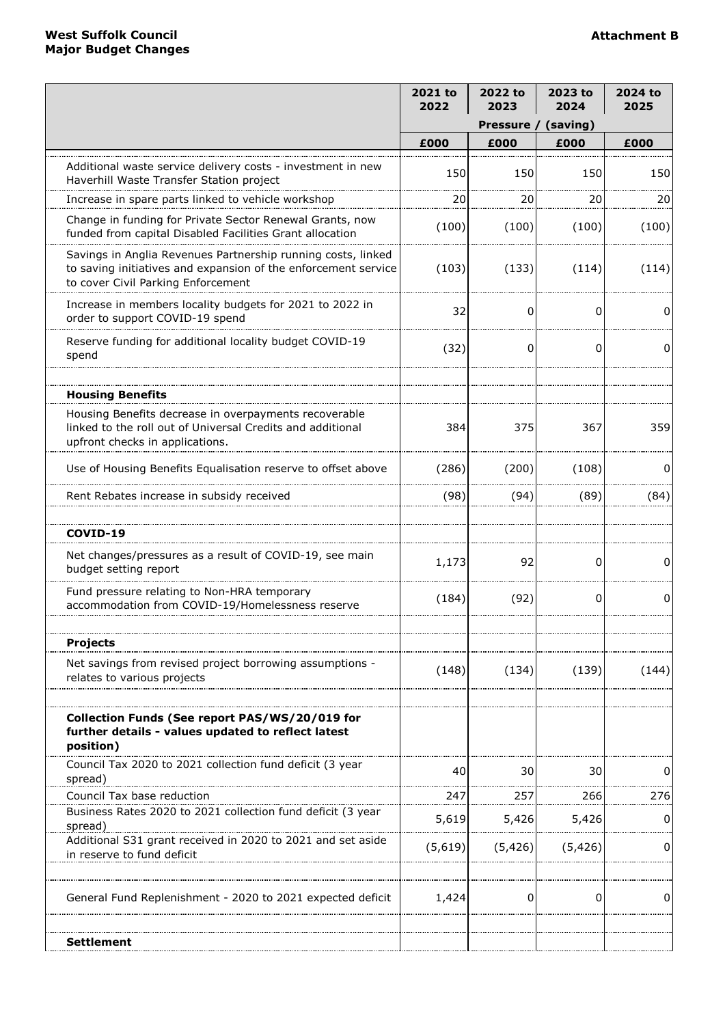|                                                                                                                                                                      | 2021 to<br>2022 | 2022 to<br>2023 | 2023 to<br>2024 | 2024 to<br>2025 |
|----------------------------------------------------------------------------------------------------------------------------------------------------------------------|-----------------|-----------------|-----------------|-----------------|
|                                                                                                                                                                      |                 | Pressure /      | (saving)        |                 |
|                                                                                                                                                                      | £000            | £000            | £000            | £000            |
| Additional waste service delivery costs - investment in new<br>Haverhill Waste Transfer Station project                                                              | 150             | 150             | 150             | 150             |
| Increase in spare parts linked to vehicle workshop                                                                                                                   | 20              | 20              | 20              | 20              |
| Change in funding for Private Sector Renewal Grants, now<br>funded from capital Disabled Facilities Grant allocation                                                 | (100)           | (100)           | (100)           | (100)           |
| Savings in Anglia Revenues Partnership running costs, linked<br>to saving initiatives and expansion of the enforcement service<br>to cover Civil Parking Enforcement | (103)           | (133)           | (114)           | (114)           |
| Increase in members locality budgets for 2021 to 2022 in<br>order to support COVID-19 spend                                                                          | 32              | 0               | 0               | O               |
| Reserve funding for additional locality budget COVID-19<br>spend                                                                                                     | (32)            | 0               | 0               | 0               |
|                                                                                                                                                                      |                 |                 |                 |                 |
| <b>Housing Benefits</b>                                                                                                                                              |                 |                 |                 |                 |
| Housing Benefits decrease in overpayments recoverable<br>linked to the roll out of Universal Credits and additional<br>upfront checks in applications.               | 384             | 375             | 367             | 359             |
| Use of Housing Benefits Equalisation reserve to offset above                                                                                                         | (286)           | (200)           | (108)           | 0               |
| Rent Rebates increase in subsidy received                                                                                                                            | (98)            | (94)            | (89)            | (84)            |
| COVID-19                                                                                                                                                             |                 |                 |                 |                 |
| Net changes/pressures as a result of COVID-19, see main<br>budget setting report                                                                                     | 1,173           | 92              | 0               | 0               |
| Fund pressure relating to Non-HRA temporary<br>accommodation from COVID-19/Homelessness reserve                                                                      | (184)           | (92)            | $\Omega$        | 0               |
|                                                                                                                                                                      |                 |                 |                 |                 |
| <b>Projects</b>                                                                                                                                                      |                 |                 |                 |                 |
| Net savings from revised project borrowing assumptions -<br>relates to various projects                                                                              | (148)           | (134)           | (139)           | (144)           |
|                                                                                                                                                                      |                 |                 |                 |                 |
| Collection Funds (See report PAS/WS/20/019 for<br>further details - values updated to reflect latest<br>position)                                                    |                 |                 |                 |                 |
| Council Tax 2020 to 2021 collection fund deficit (3 year<br>spread)                                                                                                  | 40              | 30              | 30              |                 |
| Council Tax base reduction                                                                                                                                           | 247             | 257             | 266             | 276             |
| Business Rates 2020 to 2021 collection fund deficit (3 year<br>spread)                                                                                               | 5,619           | 5,426           | 5,426           | 0               |
| Additional S31 grant received in 2020 to 2021 and set aside<br>in reserve to fund deficit                                                                            | (5,619)         | (5, 426)        | (5, 426)        | 0               |
| General Fund Replenishment - 2020 to 2021 expected deficit                                                                                                           | 1,424           | 0               | 0               | <sup>0</sup>    |
| Settlement                                                                                                                                                           |                 |                 |                 |                 |
|                                                                                                                                                                      |                 |                 |                 |                 |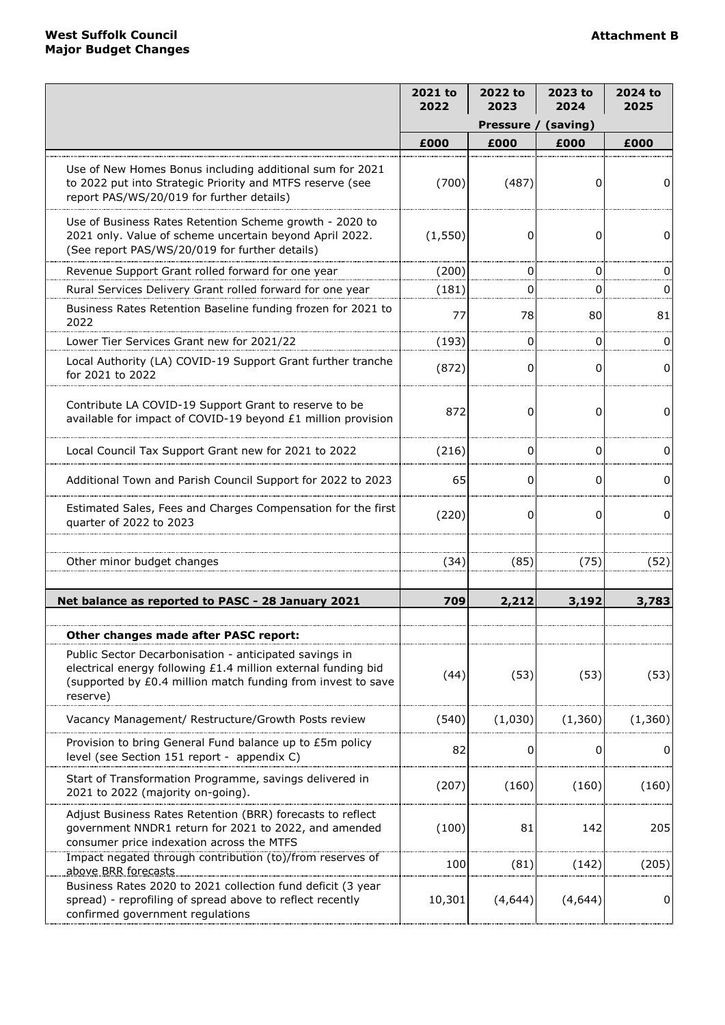|                                                                                                                                                                                                     | 2021 to<br>2022 | 2022 to<br>2023 | 2023 to<br>2024 | 2024 to<br>2025 |
|-----------------------------------------------------------------------------------------------------------------------------------------------------------------------------------------------------|-----------------|-----------------|-----------------|-----------------|
|                                                                                                                                                                                                     |                 | Pressure /      | (saving)        |                 |
|                                                                                                                                                                                                     | £000            | £000            | £000            | £000            |
| Use of New Homes Bonus including additional sum for 2021<br>to 2022 put into Strategic Priority and MTFS reserve (see<br>report PAS/WS/20/019 for further details)                                  | (700)           | (487)           | 0               | 0               |
| Use of Business Rates Retention Scheme growth - 2020 to<br>2021 only. Value of scheme uncertain beyond April 2022.<br>(See report PAS/WS/20/019 for further details)                                | (1,550)         | 0               | 0               | $\Omega$        |
| Revenue Support Grant rolled forward for one year                                                                                                                                                   | (200)           | 0               | 0               |                 |
| Rural Services Delivery Grant rolled forward for one year                                                                                                                                           | (181)           | 0               | 0               |                 |
| Business Rates Retention Baseline funding frozen for 2021 to<br>2022                                                                                                                                | 77              | 78              | 80              | 81              |
| Lower Tier Services Grant new for 2021/22                                                                                                                                                           | (193)           | 0               | 0               | O               |
| Local Authority (LA) COVID-19 Support Grant further tranche<br>for 2021 to 2022                                                                                                                     | (872)           | 0               | <sup>0</sup>    | 0               |
| Contribute LA COVID-19 Support Grant to reserve to be<br>available for impact of COVID-19 beyond £1 million provision                                                                               | 872             | 0               | $\Omega$        | $\Omega$        |
| Local Council Tax Support Grant new for 2021 to 2022                                                                                                                                                | (216)           | 0               | 0               | 0               |
| Additional Town and Parish Council Support for 2022 to 2023                                                                                                                                         | 65              | 0               | $\Omega$        | 0               |
| Estimated Sales, Fees and Charges Compensation for the first<br>quarter of 2022 to 2023                                                                                                             | (220)           | 0               | $\Omega$        | 0               |
| Other minor budget changes                                                                                                                                                                          | (34)            | (85)            | (75)            | (52)            |
| Net balance as reported to PASC - 28 January 2021                                                                                                                                                   | 709             | 2,212           | 3,192           | 3,783           |
| Other changes made after PASC report:                                                                                                                                                               |                 |                 |                 |                 |
| Public Sector Decarbonisation - anticipated savings in<br>electrical energy following £1.4 million external funding bid<br>(supported by £0.4 million match funding from invest to save<br>reserve) | (44)            | (53)            | (53)            | (53)            |
| Vacancy Management/ Restructure/Growth Posts review                                                                                                                                                 | (540)           | (1,030)         | (1, 360)        | (1, 360)        |
| Provision to bring General Fund balance up to £5m policy<br>level (see Section 151 report - appendix C)                                                                                             | 82              | 0               | 0               | 0               |
| Start of Transformation Programme, savings delivered in<br>2021 to 2022 (majority on-going).                                                                                                        | (207)           | (160)           | (160)           | (160)           |
| Adjust Business Rates Retention (BRR) forecasts to reflect<br>government NNDR1 return for 2021 to 2022, and amended<br>consumer price indexation across the MTFS                                    | (100)           | 81              | 142             | 205             |
| Impact negated through contribution (to)/from reserves of<br>above BRR forecasts                                                                                                                    | 100             | (81)            | (142)           | (205)           |
| Business Rates 2020 to 2021 collection fund deficit (3 year<br>spread) - reprofiling of spread above to reflect recently<br>confirmed government regulations                                        | 10,301          | (4,644)         | (4, 644)        | $\mathbf 0$     |